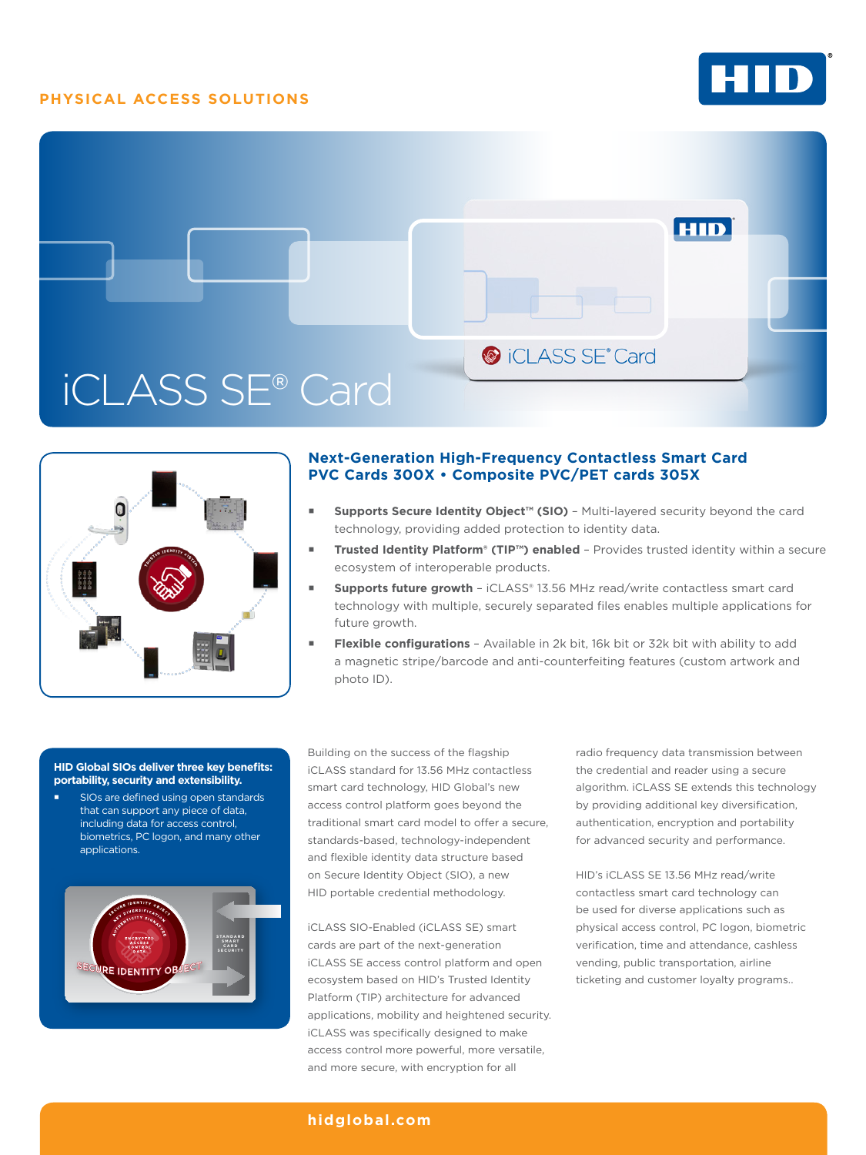# **PHYSICAL ACCESS SOLUTIONS**







# **Next-Generation High-Frequency Contactless Smart Card PVC Cards 300X • Composite PVC/PET cards 305X**

- **Supports Secure Identity Object™ (SIO)**  Multi-layered security beyond the card technology, providing added protection to identity data.
- **Trusted Identity Platform® (TIP™) enabled**  Provides trusted identity within a secure ecosystem of interoperable products.
- **Supports future growth**  iCLASS® 13.56 MHz read/write contactless smart card technology with multiple, securely separated files enables multiple applications for future growth.
- **Flexible configurations** Available in 2k bit, 16k bit or 32k bit with ability to add a magnetic stripe/barcode and anti-counterfeiting features (custom artwork and photo ID).

## **HID Global SIOs deliver three key benefits: portability, security and extensibility.**

 SIOs are defined using open standards that can support any piece of data, including data for access control, biometrics, PC logon, and many other applications.



Building on the success of the flagship iCLASS standard for 13.56 MHz contactless smart card technology, HID Global's new access control platform goes beyond the traditional smart card model to offer a secure, standards-based, technology-independent and flexible identity data structure based on Secure Identity Object (SIO), a new HID portable credential methodology.

iCLASS SIO-Enabled (iCLASS SE) smart cards are part of the next-generation iCLASS SE access control platform and open ecosystem based on HID's Trusted Identity Platform (TIP) architecture for advanced applications, mobility and heightened security. iCLASS was specifically designed to make access control more powerful, more versatile, and more secure, with encryption for all

radio frequency data transmission between the credential and reader using a secure algorithm. iCLASS SE extends this technology by providing additional key diversification, authentication, encryption and portability for advanced security and performance.

HID's iCLASS SE 13.56 MHz read/write contactless smart card technology can be used for diverse applications such as physical access control, PC logon, biometric verification, time and attendance, cashless vending, public transportation, airline ticketing and customer loyalty programs..

## **[hidglobal.com](http://www.hidglobal.com)**